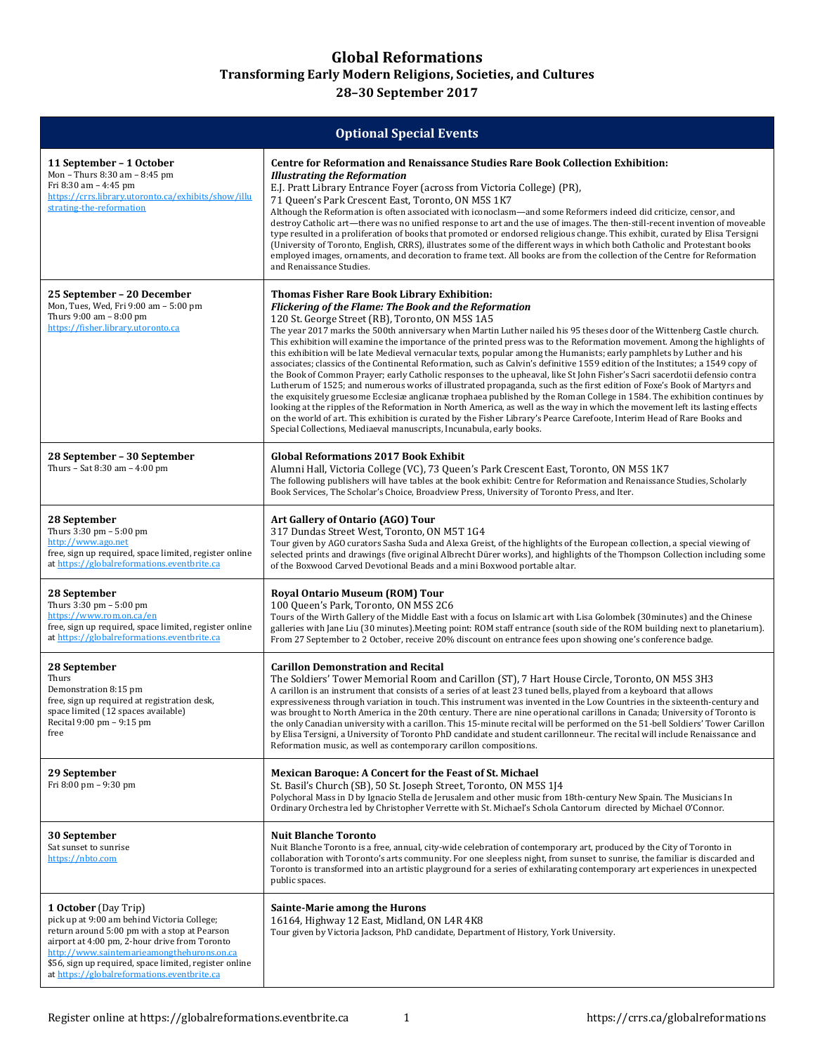## **Global Reformations**

**Transforming Early Modern Religions, Societies, and Cultures**

**28–30 September 2017**

| <b>Optional Special Events</b>                                                                                                                                                                                                                                                                                              |                                                                                                                                                                                                                                                                                                                                                                                                                                                                                                                                                                                                                                                                                                                                                                                                                                                                                                                                                                                                                                                                                                                                                                                                                                                                                                                                                                                                                |  |  |
|-----------------------------------------------------------------------------------------------------------------------------------------------------------------------------------------------------------------------------------------------------------------------------------------------------------------------------|----------------------------------------------------------------------------------------------------------------------------------------------------------------------------------------------------------------------------------------------------------------------------------------------------------------------------------------------------------------------------------------------------------------------------------------------------------------------------------------------------------------------------------------------------------------------------------------------------------------------------------------------------------------------------------------------------------------------------------------------------------------------------------------------------------------------------------------------------------------------------------------------------------------------------------------------------------------------------------------------------------------------------------------------------------------------------------------------------------------------------------------------------------------------------------------------------------------------------------------------------------------------------------------------------------------------------------------------------------------------------------------------------------------|--|--|
| 11 September – 1 October<br>Mon - Thurs 8:30 am - 8:45 pm<br>Fri 8:30 am - 4:45 pm<br>https://crrs.library.utoronto.ca/exhibits/show/illu<br>strating-the-reformation                                                                                                                                                       | <b>Centre for Reformation and Renaissance Studies Rare Book Collection Exhibition:</b><br><b>Illustrating the Reformation</b><br>E.J. Pratt Library Entrance Foyer (across from Victoria College) (PR),<br>71 Queen's Park Crescent East, Toronto, ON M5S 1K7<br>Although the Reformation is often associated with iconoclasm—and some Reformers indeed did criticize, censor, and<br>destroy Catholic art—there was no unified response to art and the use of images. The then-still-recent invention of moveable<br>type resulted in a proliferation of books that promoted or endorsed religious change. This exhibit, curated by Elisa Tersigni<br>(University of Toronto, English, CRRS), illustrates some of the different ways in which both Catholic and Protestant books<br>employed images, ornaments, and decoration to frame text. All books are from the collection of the Centre for Reformation<br>and Renaissance Studies.                                                                                                                                                                                                                                                                                                                                                                                                                                                                     |  |  |
| 25 September – 20 December<br>Mon, Tues, Wed, Fri 9:00 am - 5:00 pm<br>Thurs $9:00$ am $- 8:00$ pm<br>https://fisher.library.utoronto.ca                                                                                                                                                                                    | <b>Thomas Fisher Rare Book Library Exhibition:</b><br>Flickering of the Flame: The Book and the Reformation<br>120 St. George Street (RB), Toronto, ON M5S 1A5<br>The year 2017 marks the 500th anniversary when Martin Luther nailed his 95 theses door of the Wittenberg Castle church.<br>This exhibition will examine the importance of the printed press was to the Reformation movement. Among the highlights of<br>this exhibition will be late Medieval vernacular texts, popular among the Humanists; early pamphlets by Luther and his<br>associates; classics of the Continental Reformation, such as Calvin's definitive 1559 edition of the Institutes; a 1549 copy of<br>the Book of Common Prayer; early Catholic responses to the upheaval, like St John Fisher's Sacri sacerdotii defensio contra<br>Lutherum of 1525; and numerous works of illustrated propaganda, such as the first edition of Foxe's Book of Martyrs and<br>the exquisitely gruesome Ecclesiæ anglicanæ trophaea published by the Roman College in 1584. The exhibition continues by<br>looking at the ripples of the Reformation in North America, as well as the way in which the movement left its lasting effects<br>on the world of art. This exhibition is curated by the Fisher Library's Pearce Carefoote, Interim Head of Rare Books and<br>Special Collections, Mediaeval manuscripts, Incunabula, early books. |  |  |
| 28 September – 30 September<br>Thurs - Sat 8:30 am - 4:00 pm                                                                                                                                                                                                                                                                | <b>Global Reformations 2017 Book Exhibit</b><br>Alumni Hall, Victoria College (VC), 73 Queen's Park Crescent East, Toronto, ON M5S 1K7<br>The following publishers will have tables at the book exhibit: Centre for Reformation and Renaissance Studies, Scholarly<br>Book Services, The Scholar's Choice, Broadview Press, University of Toronto Press, and Iter.                                                                                                                                                                                                                                                                                                                                                                                                                                                                                                                                                                                                                                                                                                                                                                                                                                                                                                                                                                                                                                             |  |  |
| 28 September<br>Thurs $3:30 \text{ pm} - 5:00 \text{ pm}$<br>http://www.ago.net<br>free, sign up required, space limited, register online<br>at https://globalreformations.eventbrite.ca                                                                                                                                    | Art Gallery of Ontario (AGO) Tour<br>317 Dundas Street West, Toronto, ON M5T 1G4<br>Tour given by AGO curators Sasha Suda and Alexa Greist, of the highlights of the European collection, a special viewing of<br>selected prints and drawings (five original Albrecht Dürer works), and highlights of the Thompson Collection including some<br>of the Boxwood Carved Devotional Beads and a mini Boxwood portable altar.                                                                                                                                                                                                                                                                                                                                                                                                                                                                                                                                                                                                                                                                                                                                                                                                                                                                                                                                                                                     |  |  |
| 28 September<br>Thurs $3:30 \text{ pm} - 5:00 \text{ pm}$<br>https://www.rom.on.ca/en<br>free, sign up required, space limited, register online<br>at https://globalreformations.eventbrite.ca                                                                                                                              | <b>Royal Ontario Museum (ROM) Tour</b><br>100 Queen's Park, Toronto, ON M5S 2C6<br>Tours of the Wirth Gallery of the Middle East with a focus on Islamic art with Lisa Golombek (30minutes) and the Chinese<br>galleries with Jane Liu (30 minutes). Meeting point: ROM staff entrance (south side of the ROM building next to planetarium).<br>From 27 September to 2 October, receive 20% discount on entrance fees upon showing one's conference badge.                                                                                                                                                                                                                                                                                                                                                                                                                                                                                                                                                                                                                                                                                                                                                                                                                                                                                                                                                     |  |  |
| 28 September<br>Thurs<br>Demonstration 8:15 pm<br>free, sign up required at registration desk,<br>space limited (12 spaces available)<br>Recital 9:00 pm - 9:15 pm<br>free                                                                                                                                                  | <b>Carillon Demonstration and Recital</b><br>The Soldiers' Tower Memorial Room and Carillon (ST), 7 Hart House Circle, Toronto, ON M5S 3H3<br>A carillon is an instrument that consists of a series of at least 23 tuned bells, played from a keyboard that allows<br>expressiveness through variation in touch. This instrument was invented in the Low Countries in the sixteenth-century and<br>was brought to North America in the 20th century. There are nine operational carillons in Canada; University of Toronto is<br>the only Canadian university with a carillon. This 15-minute recital will be performed on the 51-bell Soldiers' Tower Carillon<br>by Elisa Tersigni, a University of Toronto PhD candidate and student carillonneur. The recital will include Renaissance and<br>Reformation music, as well as contemporary carillon compositions.                                                                                                                                                                                                                                                                                                                                                                                                                                                                                                                                            |  |  |
| 29 September<br>Fri 8:00 pm - 9:30 pm                                                                                                                                                                                                                                                                                       | <b>Mexican Baroque: A Concert for the Feast of St. Michael</b><br>St. Basil's Church (SB), 50 St. Joseph Street, Toronto, ON M5S 1J4<br>Polychoral Mass in D by Ignacio Stella de Jerusalem and other music from 18th-century New Spain. The Musicians In<br>Ordinary Orchestra led by Christopher Verrette with St. Michael's Schola Cantorum directed by Michael O'Connor.                                                                                                                                                                                                                                                                                                                                                                                                                                                                                                                                                                                                                                                                                                                                                                                                                                                                                                                                                                                                                                   |  |  |
| 30 September<br>Sat sunset to sunrise<br>https://nbto.com                                                                                                                                                                                                                                                                   | <b>Nuit Blanche Toronto</b><br>Nuit Blanche Toronto is a free, annual, city-wide celebration of contemporary art, produced by the City of Toronto in<br>collaboration with Toronto's arts community. For one sleepless night, from sunset to sunrise, the familiar is discarded and<br>Toronto is transformed into an artistic playground for a series of exhilarating contemporary art experiences in unexpected<br>public spaces.                                                                                                                                                                                                                                                                                                                                                                                                                                                                                                                                                                                                                                                                                                                                                                                                                                                                                                                                                                            |  |  |
| 1 October (Day Trip)<br>pick up at 9:00 am behind Victoria College;<br>return around 5:00 pm with a stop at Pearson<br>airport at 4:00 pm, 2-hour drive from Toronto<br>http://www.saintemarieamongthehurons.on.ca<br>\$56, sign up required, space limited, register online<br>at https://globalreformations.eventbrite.ca | Sainte-Marie among the Hurons<br>16164, Highway 12 East, Midland, ON L4R 4K8<br>Tour given by Victoria Jackson, PhD candidate, Department of History, York University.                                                                                                                                                                                                                                                                                                                                                                                                                                                                                                                                                                                                                                                                                                                                                                                                                                                                                                                                                                                                                                                                                                                                                                                                                                         |  |  |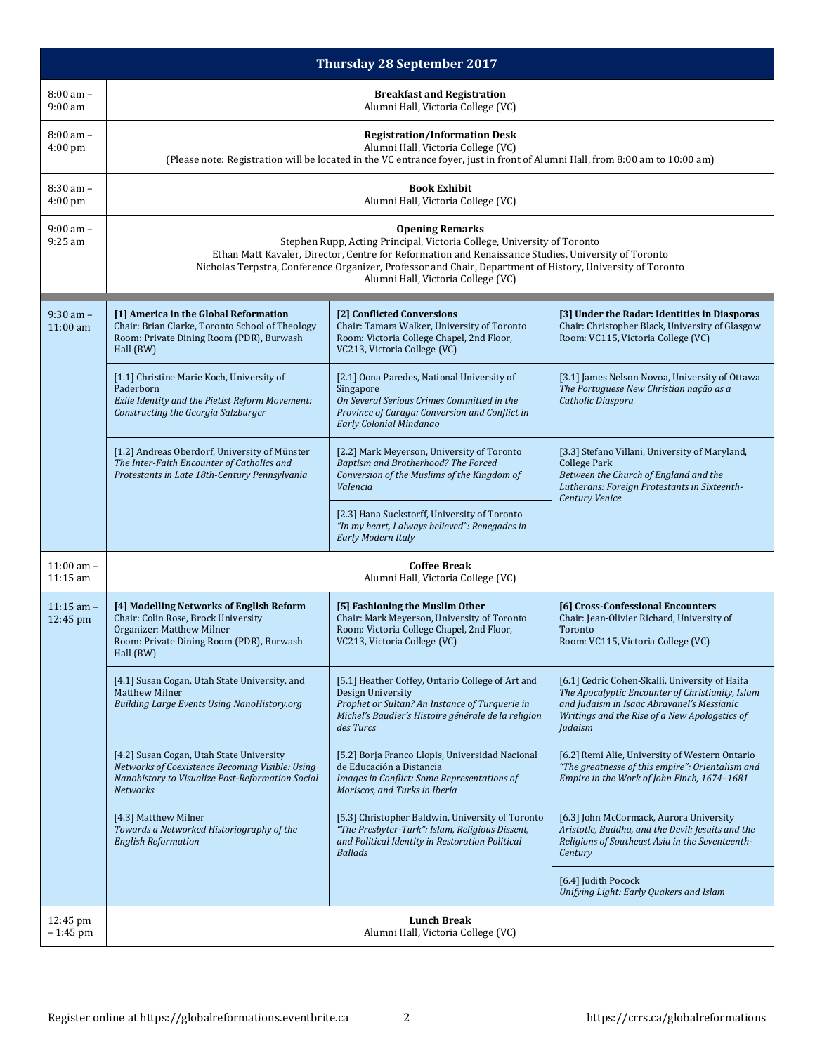| <b>Thursday 28 September 2017</b> |                                                                                                                                                                                                                                                                                                                                                              |                                                                                                                                                                                             |                                                                                                                                                                                                              |  |  |
|-----------------------------------|--------------------------------------------------------------------------------------------------------------------------------------------------------------------------------------------------------------------------------------------------------------------------------------------------------------------------------------------------------------|---------------------------------------------------------------------------------------------------------------------------------------------------------------------------------------------|--------------------------------------------------------------------------------------------------------------------------------------------------------------------------------------------------------------|--|--|
| $8:00$ am $-$<br>$9:00$ am        | <b>Breakfast and Registration</b><br>Alumni Hall, Victoria College (VC)                                                                                                                                                                                                                                                                                      |                                                                                                                                                                                             |                                                                                                                                                                                                              |  |  |
| $8:00$ am $-$<br>$4:00$ pm        | <b>Registration/Information Desk</b><br>Alumni Hall, Victoria College (VC)<br>(Please note: Registration will be located in the VC entrance foyer, just in front of Alumni Hall, from 8:00 am to 10:00 am)                                                                                                                                                   |                                                                                                                                                                                             |                                                                                                                                                                                                              |  |  |
| $8:30$ am $-$<br>$4:00$ pm        |                                                                                                                                                                                                                                                                                                                                                              | <b>Book Exhibit</b><br>Alumni Hall, Victoria College (VC)                                                                                                                                   |                                                                                                                                                                                                              |  |  |
| $9:00$ am $-$<br>$9:25$ am        | <b>Opening Remarks</b><br>Stephen Rupp, Acting Principal, Victoria College, University of Toronto<br>Ethan Matt Kavaler, Director, Centre for Reformation and Renaissance Studies, University of Toronto<br>Nicholas Terpstra, Conference Organizer, Professor and Chair, Department of History, University of Toronto<br>Alumni Hall, Victoria College (VC) |                                                                                                                                                                                             |                                                                                                                                                                                                              |  |  |
| $9:30$ am $-$<br>$11:00$ am       | [1] America in the Global Reformation<br>Chair: Brian Clarke, Toronto School of Theology<br>Room: Private Dining Room (PDR), Burwash<br>Hall (BW)                                                                                                                                                                                                            | [2] Conflicted Conversions<br>Chair: Tamara Walker, University of Toronto<br>Room: Victoria College Chapel, 2nd Floor,<br>VC213, Victoria College (VC)                                      | [3] Under the Radar: Identities in Diasporas<br>Chair: Christopher Black, University of Glasgow<br>Room: VC115, Victoria College (VC)                                                                        |  |  |
|                                   | [1.1] Christine Marie Koch, University of<br>Paderborn<br>Exile Identity and the Pietist Reform Movement:<br>Constructing the Georgia Salzburger                                                                                                                                                                                                             | [2.1] Oona Paredes, National University of<br>Singapore<br>On Several Serious Crimes Committed in the<br>Province of Caraga: Conversion and Conflict in<br>Early Colonial Mindanao          | [3.1] James Nelson Novoa, University of Ottawa<br>The Portuguese New Christian nação as a<br>Catholic Diaspora                                                                                               |  |  |
|                                   | [1.2] Andreas Oberdorf, University of Münster<br>The Inter-Faith Encounter of Catholics and<br>Protestants in Late 18th-Century Pennsylvania                                                                                                                                                                                                                 | [2.2] Mark Meyerson, University of Toronto<br>Baptism and Brotherhood? The Forced<br>Conversion of the Muslims of the Kingdom of<br>Valencia                                                | [3.3] Stefano Villani, University of Maryland,<br><b>College Park</b><br>Between the Church of England and the<br>Lutherans: Foreign Protestants in Sixteenth-<br>Century Venice                             |  |  |
|                                   |                                                                                                                                                                                                                                                                                                                                                              | [2.3] Hana Suckstorff, University of Toronto<br>"In my heart, I always believed": Renegades in<br>Early Modern Italy                                                                        |                                                                                                                                                                                                              |  |  |
| $11:00$ am $-$<br>11:15 am        |                                                                                                                                                                                                                                                                                                                                                              | <b>Coffee Break</b><br>Alumni Hall, Victoria College (VC)                                                                                                                                   |                                                                                                                                                                                                              |  |  |
| $11:15$ am $-$<br>12:45 pm        | [4] Modelling Networks of English Reform<br>Chair: Colin Rose, Brock University<br>Organizer: Matthew Milner<br>Room: Private Dining Room (PDR), Burwash<br>Hall (BW)                                                                                                                                                                                        | [5] Fashioning the Muslim Other<br>Chair: Mark Meyerson, University of Toronto<br>Room: Victoria College Chapel, 2nd Floor,<br>VC213, Victoria College (VC)                                 | [6] Cross-Confessional Encounters<br>Chair: Jean-Olivier Richard, University of<br>Toronto<br>Room: VC115, Victoria College (VC)                                                                             |  |  |
|                                   | [4.1] Susan Cogan, Utah State University, and<br>Matthew Milner<br><b>Building Large Events Using NanoHistory.org</b>                                                                                                                                                                                                                                        | [5.1] Heather Coffey, Ontario College of Art and<br>Design University<br>Prophet or Sultan? An Instance of Turquerie in<br>Michel's Baudier's Histoire générale de la religion<br>des Turcs | [6.1] Cedric Cohen-Skalli, University of Haifa<br>The Apocalyptic Encounter of Christianity, Islam<br>and Judaism in Isaac Abravanel's Messianic<br>Writings and the Rise of a New Apologetics of<br>Judaism |  |  |
|                                   | [4.2] Susan Cogan, Utah State University<br>[5.2] Borja Franco Llopis, Universidad Nacional<br>Networks of Coexistence Becoming Visible: Using<br>de Educación a Distancia<br>Nanohistory to Visualize Post-Reformation Social<br>Images in Conflict: Some Representations of<br>Moriscos, and Turks in Iberia<br><b>Networks</b>                            |                                                                                                                                                                                             | [6.2] Remi Alie, University of Western Ontario<br>"The greatnesse of this empire": Orientalism and<br>Empire in the Work of John Finch, 1674-1681                                                            |  |  |
|                                   | [4.3] Matthew Milner<br>Towards a Networked Historiography of the<br><b>English Reformation</b>                                                                                                                                                                                                                                                              | [5.3] Christopher Baldwin, University of Toronto<br>"The Presbyter-Turk": Islam, Religious Dissent,<br>and Political Identity in Restoration Political<br><b>Ballads</b>                    | [6.3] John McCormack, Aurora University<br>Aristotle, Buddha, and the Devil: Jesuits and the<br>Religions of Southeast Asia in the Seventeenth-<br>Century                                                   |  |  |
|                                   |                                                                                                                                                                                                                                                                                                                                                              |                                                                                                                                                                                             | [6.4] Judith Pocock<br>Unifying Light: Early Quakers and Islam                                                                                                                                               |  |  |
| 12:45 pm<br>$-1:45$ pm            | <b>Lunch Break</b><br>Alumni Hall, Victoria College (VC)                                                                                                                                                                                                                                                                                                     |                                                                                                                                                                                             |                                                                                                                                                                                                              |  |  |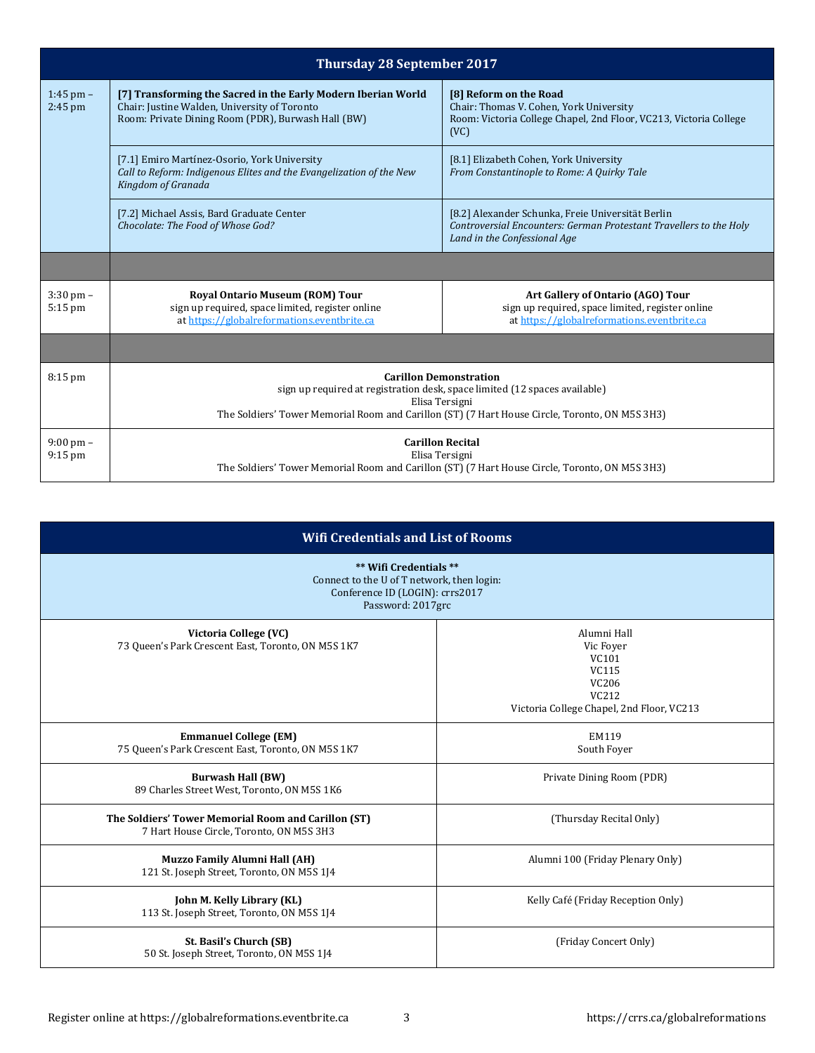| <b>Thursday 28 September 2017</b> |                                                                                                                                                                                                                                 |                                                                                                                                                         |  |
|-----------------------------------|---------------------------------------------------------------------------------------------------------------------------------------------------------------------------------------------------------------------------------|---------------------------------------------------------------------------------------------------------------------------------------------------------|--|
| $1:45$ pm $-$<br>$2:45$ pm        | [7] Transforming the Sacred in the Early Modern Iberian World<br>Chair: Justine Walden, University of Toronto<br>Room: Private Dining Room (PDR), Burwash Hall (BW)                                                             | [8] Reform on the Road<br>Chair: Thomas V. Cohen, York University<br>Room: Victoria College Chapel, 2nd Floor, VC213, Victoria College<br>(VC)          |  |
|                                   | [7.1] Emiro Martínez-Osorio, York University<br>Call to Reform: Indigenous Elites and the Evangelization of the New<br>Kingdom of Granada                                                                                       | [8.1] Elizabeth Cohen, York University<br>From Constantinople to Rome: A Quirky Tale                                                                    |  |
|                                   | [7.2] Michael Assis, Bard Graduate Center<br>Chocolate: The Food of Whose God?                                                                                                                                                  | [8.2] Alexander Schunka, Freie Universität Berlin<br>Controversial Encounters: German Protestant Travellers to the Holy<br>Land in the Confessional Age |  |
|                                   |                                                                                                                                                                                                                                 |                                                                                                                                                         |  |
| $3:30$ pm $-$<br>$5:15$ pm        | <b>Royal Ontario Museum (ROM) Tour</b><br>sign up required, space limited, register online<br>at https://globalreformations.eventbrite.ca                                                                                       | Art Gallery of Ontario (AGO) Tour<br>sign up required, space limited, register online<br>at https://globalreformations.eventbrite.ca                    |  |
|                                   |                                                                                                                                                                                                                                 |                                                                                                                                                         |  |
| $8:15$ pm                         | <b>Carillon Demonstration</b><br>sign up required at registration desk, space limited (12 spaces available)<br>Elisa Tersigni<br>The Soldiers' Tower Memorial Room and Carillon (ST) (7 Hart House Circle, Toronto, ON M5S 3H3) |                                                                                                                                                         |  |
| $9:00 \text{ pm} -$<br>$9:15$ pm  | <b>Carillon Recital</b><br>Elisa Tersigni<br>The Soldiers' Tower Memorial Room and Carillon (ST) (7 Hart House Circle, Toronto, ON M5S 3H3)                                                                                     |                                                                                                                                                         |  |

| <b>Wifi Credentials and List of Rooms</b>                                                                                    |                                                                                                                              |  |  |
|------------------------------------------------------------------------------------------------------------------------------|------------------------------------------------------------------------------------------------------------------------------|--|--|
| ** Wifi Credentials **<br>Connect to the U of T network, then login:<br>Conference ID (LOGIN): crrs2017<br>Password: 2017grc |                                                                                                                              |  |  |
| Victoria College (VC)<br>73 Queen's Park Crescent East, Toronto, ON M5S 1K7                                                  | Alumni Hall<br>Vic Fover<br>VC101<br><b>VC115</b><br>VC206<br>VC <sub>212</sub><br>Victoria College Chapel, 2nd Floor, VC213 |  |  |
| <b>Emmanuel College (EM)</b><br>75 Queen's Park Crescent East, Toronto, ON M5S 1K7                                           | EM119<br>South Foyer                                                                                                         |  |  |
| <b>Burwash Hall (BW)</b><br>89 Charles Street West, Toronto, ON M5S 1K6                                                      | Private Dining Room (PDR)                                                                                                    |  |  |
| The Soldiers' Tower Memorial Room and Carillon (ST)<br>7 Hart House Circle, Toronto, ON M5S 3H3                              | (Thursday Recital Only)                                                                                                      |  |  |
| <b>Muzzo Family Alumni Hall (AH)</b><br>121 St. Joseph Street, Toronto, ON M5S 1J4                                           | Alumni 100 (Friday Plenary Only)                                                                                             |  |  |
| John M. Kelly Library (KL)<br>113 St. Joseph Street, Toronto, ON M5S 1J4                                                     | Kelly Café (Friday Reception Only)                                                                                           |  |  |
| St. Basil's Church (SB)<br>50 St. Joseph Street, Toronto, ON M5S 1J4                                                         | (Friday Concert Only)                                                                                                        |  |  |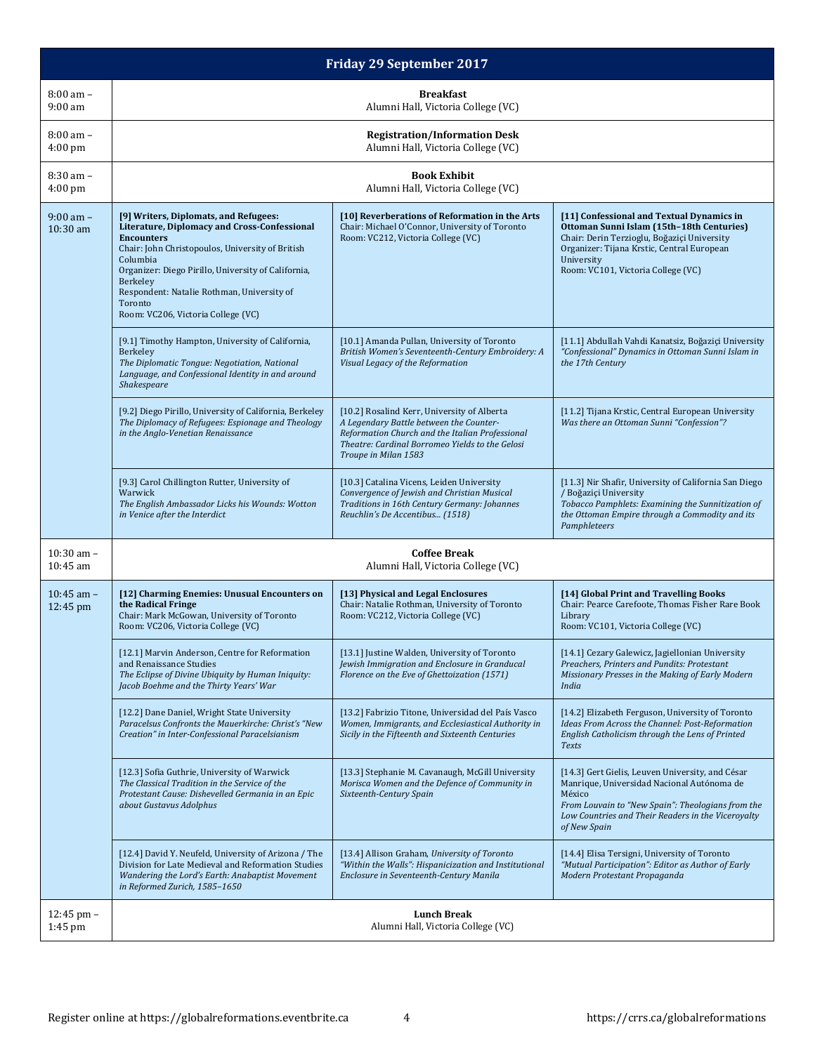| <b>Friday 29 September 2017</b> |                                                                                                                                                                                                                                                                                                                                              |                                                                                                                                                                                                                      |                                                                                                                                                                                                                                         |  |
|---------------------------------|----------------------------------------------------------------------------------------------------------------------------------------------------------------------------------------------------------------------------------------------------------------------------------------------------------------------------------------------|----------------------------------------------------------------------------------------------------------------------------------------------------------------------------------------------------------------------|-----------------------------------------------------------------------------------------------------------------------------------------------------------------------------------------------------------------------------------------|--|
| $8:00$ am $-$<br>$9:00$ am      | <b>Breakfast</b><br>Alumni Hall, Victoria College (VC)                                                                                                                                                                                                                                                                                       |                                                                                                                                                                                                                      |                                                                                                                                                                                                                                         |  |
| $8:00$ am $-$<br>$4:00$ pm      | <b>Registration/Information Desk</b><br>Alumni Hall, Victoria College (VC)                                                                                                                                                                                                                                                                   |                                                                                                                                                                                                                      |                                                                                                                                                                                                                                         |  |
| 8:30 am -<br>$4:00 \text{ pm}$  |                                                                                                                                                                                                                                                                                                                                              | <b>Book Exhibit</b><br>Alumni Hall, Victoria College (VC)                                                                                                                                                            |                                                                                                                                                                                                                                         |  |
| $9:00$ am $-$<br>$10:30$ am     | [9] Writers, Diplomats, and Refugees:<br>Literature, Diplomacy and Cross-Confessional<br><b>Encounters</b><br>Chair: John Christopoulos, University of British<br>Columbia<br>Organizer: Diego Pirillo, University of California,<br>Berkeley<br>Respondent: Natalie Rothman, University of<br>Toronto<br>Room: VC206, Victoria College (VC) | [10] Reverberations of Reformation in the Arts<br>Chair: Michael O'Connor, University of Toronto<br>Room: VC212, Victoria College (VC)                                                                               | [11] Confessional and Textual Dynamics in<br>Ottoman Sunni Islam (15th-18th Centuries)<br>Chair: Derin Terzioglu, Boğazici University<br>Organizer: Tijana Krstic, Central European<br>University<br>Room: VC101, Victoria College (VC) |  |
|                                 | [9.1] Timothy Hampton, University of California,<br>Berkeley<br>The Diplomatic Tongue: Negotiation, National<br>Language, and Confessional Identity in and around<br>Shakespeare                                                                                                                                                             | [10.1] Amanda Pullan, University of Toronto<br>British Women's Seventeenth-Century Embroidery: A<br>Visual Legacy of the Reformation                                                                                 | [11.1] Abdullah Vahdi Kanatsiz, Boğaziçi University<br>"Confessional" Dynamics in Ottoman Sunni Islam in<br>the 17th Century                                                                                                            |  |
|                                 | [9.2] Diego Pirillo, University of California, Berkeley<br>The Diplomacy of Refugees: Espionage and Theology<br>in the Anglo-Venetian Renaissance                                                                                                                                                                                            | [10.2] Rosalind Kerr, University of Alberta<br>A Legendary Battle between the Counter-<br>Reformation Church and the Italian Professional<br>Theatre: Cardinal Borromeo Yields to the Gelosi<br>Troupe in Milan 1583 | [11.2] Tijana Krstic, Central European University<br>Was there an Ottoman Sunni "Confession"?                                                                                                                                           |  |
|                                 | [9.3] Carol Chillington Rutter, University of<br>[10.3] Catalina Vicens, Leiden University<br>Convergence of Jewish and Christian Musical<br>Warwick<br>Traditions in 16th Century Germany: Johannes<br>The English Ambassador Licks his Wounds: Wotton<br>in Venice after the Interdict<br>Reuchlin's De Accentibus (1518)                  |                                                                                                                                                                                                                      | [11.3] Nir Shafir, University of California San Diego<br>/ Boğaziçi University<br>Tobacco Pamphlets: Examining the Sunnitization of<br>the Ottoman Empire through a Commodity and its<br>Pamphleteers                                   |  |
| $10:30$ am $-$<br>10:45 am      | <b>Coffee Break</b><br>Alumni Hall, Victoria College (VC)                                                                                                                                                                                                                                                                                    |                                                                                                                                                                                                                      |                                                                                                                                                                                                                                         |  |
| $10:45$ am $-$<br>12:45 pm      | [12] Charming Enemies: Unusual Encounters on<br>the Radical Fringe<br>Chair: Mark McGowan, University of Toronto<br>Room: VC206, Victoria College (VC)                                                                                                                                                                                       | [13] Physical and Legal Enclosures<br>Chair: Natalie Rothman, University of Toronto<br>Room: VC212, Victoria College (VC)                                                                                            | [14] Global Print and Travelling Books<br>Chair: Pearce Carefoote, Thomas Fisher Rare Book<br>Library<br>Room: VC101, Victoria College (VC)                                                                                             |  |
|                                 | [12.1] Marvin Anderson, Centre for Reformation<br>and Renaissance Studies<br>The Eclipse of Divine Ubiquity by Human Iniquity:<br>Jacob Boehme and the Thirty Years' War                                                                                                                                                                     | [13.1] Justine Walden, University of Toronto<br>Jewish Immigration and Enclosure in Granducal<br>Florence on the Eve of Ghettoization (1571)                                                                         | [14.1] Cezary Galewicz, Jagiellonian University<br>Preachers, Printers and Pundits: Protestant<br>Missionary Presses in the Making of Early Modern<br>India                                                                             |  |
|                                 | [12.2] Dane Daniel, Wright State University<br>Paracelsus Confronts the Mauerkirche: Christ's "New<br>Creation" in Inter-Confessional Paracelsianism                                                                                                                                                                                         | [13.2] Fabrizio Titone, Universidad del País Vasco<br>Women, Immigrants, and Ecclesiastical Authority in<br>Sicily in the Fifteenth and Sixteenth Centuries                                                          | [14.2] Elizabeth Ferguson, University of Toronto<br>Ideas From Across the Channel: Post-Reformation<br>English Catholicism through the Lens of Printed<br><b>Texts</b>                                                                  |  |
|                                 | [12.3] Sofia Guthrie, University of Warwick<br>The Classical Tradition in the Service of the<br>Protestant Cause: Dishevelled Germania in an Epic<br>about Gustavus Adolphus                                                                                                                                                                 | [13.3] Stephanie M. Cavanaugh, McGill University<br>Morisca Women and the Defence of Community in<br>Sixteenth-Century Spain                                                                                         | [14.3] Gert Gielis, Leuven University, and César<br>Manrique, Universidad Nacional Autónoma de<br>México<br>From Louvain to "New Spain": Theologians from the<br>Low Countries and Their Readers in the Viceroyalty<br>of New Spain     |  |
|                                 | [12.4] David Y. Neufeld, University of Arizona / The<br>Division for Late Medieval and Reformation Studies<br>Wandering the Lord's Earth: Anabaptist Movement<br>in Reformed Zurich, 1585-1650                                                                                                                                               | [13.4] Allison Graham, University of Toronto<br>"Within the Walls": Hispanicization and Institutional<br>Enclosure in Seventeenth-Century Manila                                                                     | [14.4] Elisa Tersigni, University of Toronto<br>"Mutual Participation": Editor as Author of Early<br>Modern Protestant Propaganda                                                                                                       |  |
| 12:45 pm -<br>$1:45$ pm         | <b>Lunch Break</b><br>Alumni Hall, Victoria College (VC)                                                                                                                                                                                                                                                                                     |                                                                                                                                                                                                                      |                                                                                                                                                                                                                                         |  |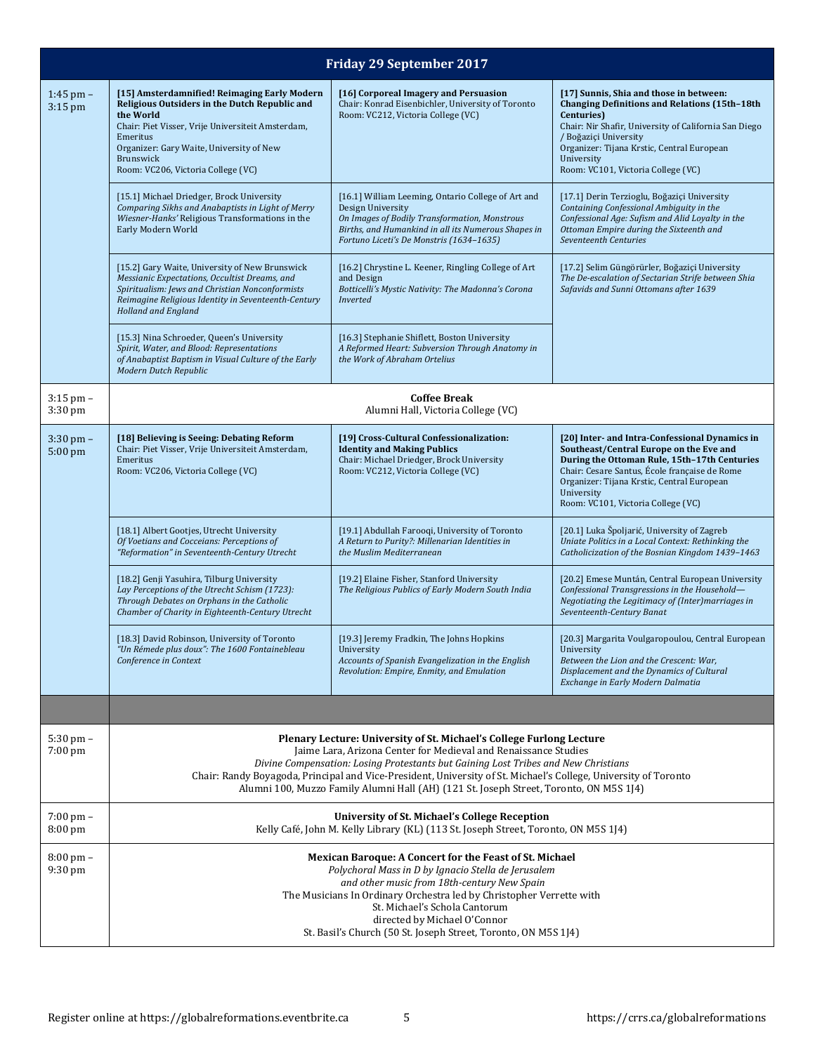|                                | <b>Friday 29 September 2017</b>                                                                                                                                                                                                                                                                                                                                                                                                            |                                                                                                                                                                                                                             |                                                                                                                                                                                                                                                                                                   |  |  |
|--------------------------------|--------------------------------------------------------------------------------------------------------------------------------------------------------------------------------------------------------------------------------------------------------------------------------------------------------------------------------------------------------------------------------------------------------------------------------------------|-----------------------------------------------------------------------------------------------------------------------------------------------------------------------------------------------------------------------------|---------------------------------------------------------------------------------------------------------------------------------------------------------------------------------------------------------------------------------------------------------------------------------------------------|--|--|
| $1:45$ pm $-$<br>$3:15$ pm     | [15] Amsterdamnified! Reimaging Early Modern<br>Religious Outsiders in the Dutch Republic and<br>the World<br>Chair: Piet Visser, Vrije Universiteit Amsterdam,<br>Emeritus<br>Organizer: Gary Waite, University of New<br>Brunswick<br>Room: VC206, Victoria College (VC)                                                                                                                                                                 | [16] Corporeal Imagery and Persuasion<br>Chair: Konrad Eisenbichler, University of Toronto<br>Room: VC212, Victoria College (VC)                                                                                            | [17] Sunnis, Shia and those in between:<br><b>Changing Definitions and Relations (15th-18th</b><br>Centuries)<br>Chair: Nir Shafir, University of California San Diego<br>/ Boğaziçi University<br>Organizer: Tijana Krstic, Central European<br>University<br>Room: VC101, Victoria College (VC) |  |  |
|                                | [15.1] Michael Driedger, Brock University<br>Comparing Sikhs and Anabaptists in Light of Merry<br>Wiesner-Hanks' Religious Transformations in the<br>Early Modern World                                                                                                                                                                                                                                                                    | [16.1] William Leeming, Ontario College of Art and<br>Design University<br>On Images of Bodily Transformation, Monstrous<br>Births, and Humankind in all its Numerous Shapes in<br>Fortuno Liceti's De Monstris (1634-1635) | [17.1] Derin Terzioglu, Boğaziçi University<br>Containing Confessional Ambiguity in the<br>Confessional Age: Sufism and Alid Loyalty in the<br>Ottoman Empire during the Sixteenth and<br>Seventeenth Centuries                                                                                   |  |  |
|                                | [15.2] Gary Waite, University of New Brunswick<br>Messianic Expectations, Occultist Dreams, and<br>Spiritualism: Jews and Christian Nonconformists<br>Reimagine Religious Identity in Seventeenth-Century<br><b>Holland and England</b>                                                                                                                                                                                                    | [16.2] Chrystine L. Keener, Ringling College of Art<br>and Design<br>Botticelli's Mystic Nativity: The Madonna's Corona<br>Inverted                                                                                         | [17.2] Selim Güngörürler, Boğaziçi University<br>The De-escalation of Sectarian Strife between Shia<br>Safavids and Sunni Ottomans after 1639                                                                                                                                                     |  |  |
|                                | [15.3] Nina Schroeder, Queen's University<br>Spirit, Water, and Blood: Representations<br>of Anabaptist Baptism in Visual Culture of the Early<br>Modern Dutch Republic                                                                                                                                                                                                                                                                    | [16.3] Stephanie Shiflett, Boston University<br>A Reformed Heart: Subversion Through Anatomy in<br>the Work of Abraham Ortelius                                                                                             |                                                                                                                                                                                                                                                                                                   |  |  |
| $3:15$ pm $-$<br>$3:30$ pm     | <b>Coffee Break</b><br>Alumni Hall, Victoria College (VC)                                                                                                                                                                                                                                                                                                                                                                                  |                                                                                                                                                                                                                             |                                                                                                                                                                                                                                                                                                   |  |  |
| $3:30$ pm $-$<br>5:00 pm       | [18] Believing is Seeing: Debating Reform<br>Chair: Piet Visser, Vrije Universiteit Amsterdam,<br>Emeritus<br>Room: VC206, Victoria College (VC)                                                                                                                                                                                                                                                                                           | [19] Cross-Cultural Confessionalization:<br><b>Identity and Making Publics</b><br>Chair: Michael Driedger, Brock University<br>Room: VC212, Victoria College (VC)                                                           | [20] Inter- and Intra-Confessional Dynamics in<br>Southeast/Central Europe on the Eve and<br>During the Ottoman Rule, 15th-17th Centuries<br>Chair: Cesare Santus, École française de Rome<br>Organizer: Tijana Krstic, Central European<br>University<br>Room: VC101, Victoria College (VC)      |  |  |
|                                | [18.1] Albert Gootjes, Utrecht University<br>Of Voetians and Cocceians: Perceptions of<br>"Reformation" in Seventeenth-Century Utrecht                                                                                                                                                                                                                                                                                                     | [19.1] Abdullah Farooqi, University of Toronto<br>A Return to Purity?: Millenarian Identities in<br>the Muslim Mediterranean                                                                                                | [20.1] Luka Špoljarić, University of Zagreb<br>Uniate Politics in a Local Context: Rethinking the<br>Catholicization of the Bosnian Kingdom 1439-1463                                                                                                                                             |  |  |
|                                | [18.2] Genji Yasuhira, Tilburg University<br>Lay Perceptions of the Utrecht Schism (1723):<br>Through Debates on Orphans in the Catholic<br>Chamber of Charity in Eighteenth-Century Utrecht                                                                                                                                                                                                                                               | [19.2] Elaine Fisher, Stanford University<br>The Religious Publics of Early Modern South India                                                                                                                              | [20.2] Emese Muntán, Central European University<br>Confessional Transgressions in the Household-<br>Negotiating the Legitimacy of (Inter)marriages in<br>Seventeenth-Century Banat                                                                                                               |  |  |
|                                | [18.3] David Robinson, University of Toronto<br>"Un Rémede plus doux": The 1600 Fontainebleau<br>Conference in Context                                                                                                                                                                                                                                                                                                                     | [19.3] Jeremy Fradkin, The Johns Hopkins<br>University<br>Accounts of Spanish Evangelization in the English<br>Revolution: Empire, Enmity, and Emulation                                                                    | [20.3] Margarita Voulgaropoulou, Central European<br>University<br>Between the Lion and the Crescent: War,<br>Displacement and the Dynamics of Cultural<br>Exchange in Early Modern Dalmatia                                                                                                      |  |  |
|                                |                                                                                                                                                                                                                                                                                                                                                                                                                                            |                                                                                                                                                                                                                             |                                                                                                                                                                                                                                                                                                   |  |  |
| $5:30$ pm $-$<br>$7:00$ pm     | Plenary Lecture: University of St. Michael's College Furlong Lecture<br>Jaime Lara, Arizona Center for Medieval and Renaissance Studies<br>Divine Compensation: Losing Protestants but Gaining Lost Tribes and New Christians<br>Chair: Randy Boyagoda, Principal and Vice-President, University of St. Michael's College, University of Toronto<br>Alumni 100, Muzzo Family Alumni Hall (AH) (121 St. Joseph Street, Toronto, ON M5S 1J4) |                                                                                                                                                                                                                             |                                                                                                                                                                                                                                                                                                   |  |  |
| $7:00 \text{ pm} -$<br>8:00 pm | University of St. Michael's College Reception<br>Kelly Café, John M. Kelly Library (KL) (113 St. Joseph Street, Toronto, ON M5S 1J4)                                                                                                                                                                                                                                                                                                       |                                                                                                                                                                                                                             |                                                                                                                                                                                                                                                                                                   |  |  |
| $8:00 \text{ pm} -$<br>9:30 pm | <b>Mexican Baroque: A Concert for the Feast of St. Michael</b><br>Polychoral Mass in D by Ignacio Stella de Jerusalem<br>and other music from 18th-century New Spain<br>The Musicians In Ordinary Orchestra led by Christopher Verrette with<br>St. Michael's Schola Cantorum<br>directed by Michael O'Connor<br>St. Basil's Church (50 St. Joseph Street, Toronto, ON M5S 1J4)                                                            |                                                                                                                                                                                                                             |                                                                                                                                                                                                                                                                                                   |  |  |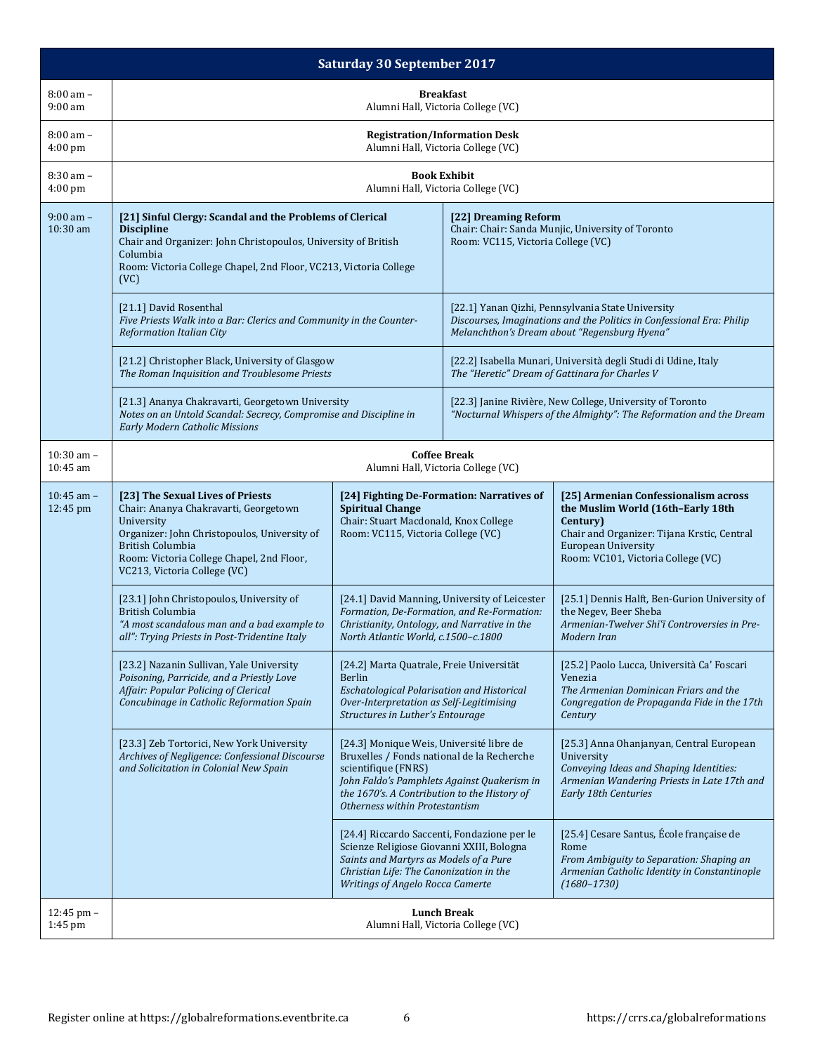| <b>Saturday 30 September 2017</b> |                                                                                                                                                                                                                                                 |                                                                                                                                                                                                                                                |                                                                                                                                  |                                                                                                                                                                                                          |  |
|-----------------------------------|-------------------------------------------------------------------------------------------------------------------------------------------------------------------------------------------------------------------------------------------------|------------------------------------------------------------------------------------------------------------------------------------------------------------------------------------------------------------------------------------------------|----------------------------------------------------------------------------------------------------------------------------------|----------------------------------------------------------------------------------------------------------------------------------------------------------------------------------------------------------|--|
| $8:00$ am $-$<br>$9:00$ am        | <b>Breakfast</b><br>Alumni Hall, Victoria College (VC)                                                                                                                                                                                          |                                                                                                                                                                                                                                                |                                                                                                                                  |                                                                                                                                                                                                          |  |
| 8:00 am -<br>4:00 pm              | <b>Registration/Information Desk</b><br>Alumni Hall, Victoria College (VC)                                                                                                                                                                      |                                                                                                                                                                                                                                                |                                                                                                                                  |                                                                                                                                                                                                          |  |
| 8:30 am -<br>4:00 pm              |                                                                                                                                                                                                                                                 |                                                                                                                                                                                                                                                | <b>Book Exhibit</b><br>Alumni Hall, Victoria College (VC)                                                                        |                                                                                                                                                                                                          |  |
| $9:00$ am $-$<br>10:30 am         | [21] Sinful Clergy: Scandal and the Problems of Clerical<br><b>Discipline</b><br>Chair and Organizer: John Christopoulos, University of British<br>Columbia<br>Room: Victoria College Chapel, 2nd Floor, VC213, Victoria College<br>(VC)        |                                                                                                                                                                                                                                                | [22] Dreaming Reform<br>Room: VC115, Victoria College (VC)                                                                       | Chair: Chair: Sanda Munjic, University of Toronto                                                                                                                                                        |  |
|                                   | [21.1] David Rosenthal<br>Five Priests Walk into a Bar: Clerics and Community in the Counter-<br><b>Reformation Italian City</b>                                                                                                                |                                                                                                                                                                                                                                                |                                                                                                                                  | [22.1] Yanan Qizhi, Pennsylvania State University<br>Discourses, Imaginations and the Politics in Confessional Era: Philip<br>Melanchthon's Dream about "Regensburg Hyena"                               |  |
|                                   | [21.2] Christopher Black, University of Glasgow<br>The Roman Inquisition and Troublesome Priests                                                                                                                                                |                                                                                                                                                                                                                                                |                                                                                                                                  | [22.2] Isabella Munari, Università degli Studi di Udine, Italy<br>The "Heretic" Dream of Gattinara for Charles V                                                                                         |  |
|                                   | [21.3] Ananya Chakravarti, Georgetown University<br>Notes on an Untold Scandal: Secrecy, Compromise and Discipline in<br><b>Early Modern Catholic Missions</b>                                                                                  |                                                                                                                                                                                                                                                | [22.3] Janine Rivière, New College, University of Toronto<br>"Nocturnal Whispers of the Almighty": The Reformation and the Dream |                                                                                                                                                                                                          |  |
| $10:30$ am $-$<br>10:45 am        | <b>Coffee Break</b><br>Alumni Hall, Victoria College (VC)                                                                                                                                                                                       |                                                                                                                                                                                                                                                |                                                                                                                                  |                                                                                                                                                                                                          |  |
| $10:45$ am $-$<br>12:45 pm        | [23] The Sexual Lives of Priests<br>Chair: Ananya Chakravarti, Georgetown<br>University<br>Organizer: John Christopoulos, University of<br><b>British Columbia</b><br>Room: Victoria College Chapel, 2nd Floor,<br>VC213, Victoria College (VC) | [24] Fighting De-Formation: Narratives of<br><b>Spiritual Change</b><br>Chair: Stuart Macdonald, Knox College<br>Room: VC115, Victoria College (VC)                                                                                            |                                                                                                                                  | [25] Armenian Confessionalism across<br>the Muslim World (16th-Early 18th<br>Century)<br>Chair and Organizer: Tijana Krstic, Central<br><b>European University</b><br>Room: VC101, Victoria College (VC) |  |
|                                   | [23.1] John Christopoulos, University of<br><b>British Columbia</b><br>"A most scandalous man and a bad example to<br>all": Trying Priests in Post-Tridentine Italy                                                                             | [24.1] David Manning, University of Leicester<br>Formation, De-Formation, and Re-Formation:<br>Christianity, Ontology, and Narrative in the<br>North Atlantic World, c.1500-c.1800                                                             |                                                                                                                                  | [25.1] Dennis Halft, Ben-Gurion University of<br>the Negev, Beer Sheba<br>Armenian-Twelver Shī'ī Controversies in Pre-<br>Modern Iran                                                                    |  |
|                                   | [23.2] Nazanin Sullivan, Yale University<br>Poisoning, Parricide, and a Priestly Love<br>Affair: Popular Policing of Clerical<br>Concubinage in Catholic Reformation Spain                                                                      | [24.2] Marta Quatrale, Freie Universität<br><b>Berlin</b><br><b>Eschatological Polarisation and Historical</b><br>Over-Interpretation as Self-Legitimising<br>Structures in Luther's Entourage                                                 |                                                                                                                                  | [25.2] Paolo Lucca, Università Ca' Foscari<br>Venezia<br>The Armenian Dominican Friars and the<br>Congregation de Propaganda Fide in the 17th<br>Century                                                 |  |
|                                   | [23.3] Zeb Tortorici, New York University<br>Archives of Negligence: Confessional Discourse<br>and Solicitation in Colonial New Spain                                                                                                           | [24.3] Monique Weis, Université libre de<br>Bruxelles / Fonds national de la Recherche<br>scientifique (FNRS)<br>John Faldo's Pamphlets Against Quakerism in<br>the 1670's. A Contribution to the History of<br>Otherness within Protestantism |                                                                                                                                  | [25.3] Anna Ohanjanyan, Central European<br>University<br>Conveying Ideas and Shaping Identities:<br>Armenian Wandering Priests in Late 17th and<br><b>Early 18th Centuries</b>                          |  |
|                                   |                                                                                                                                                                                                                                                 | [24.4] Riccardo Saccenti, Fondazione per le<br>Scienze Religiose Giovanni XXIII, Bologna<br>Saints and Martyrs as Models of a Pure<br>Christian Life: The Canonization in the<br><b>Writings of Angelo Rocca Camerte</b>                       |                                                                                                                                  | [25.4] Cesare Santus, École française de<br>Rome<br>From Ambiguity to Separation: Shaping an<br>Armenian Catholic Identity in Constantinople<br>$(1680 - 1730)$                                          |  |
| 12:45 pm -<br>$1:45$ pm           | <b>Lunch Break</b><br>Alumni Hall, Victoria College (VC)                                                                                                                                                                                        |                                                                                                                                                                                                                                                |                                                                                                                                  |                                                                                                                                                                                                          |  |